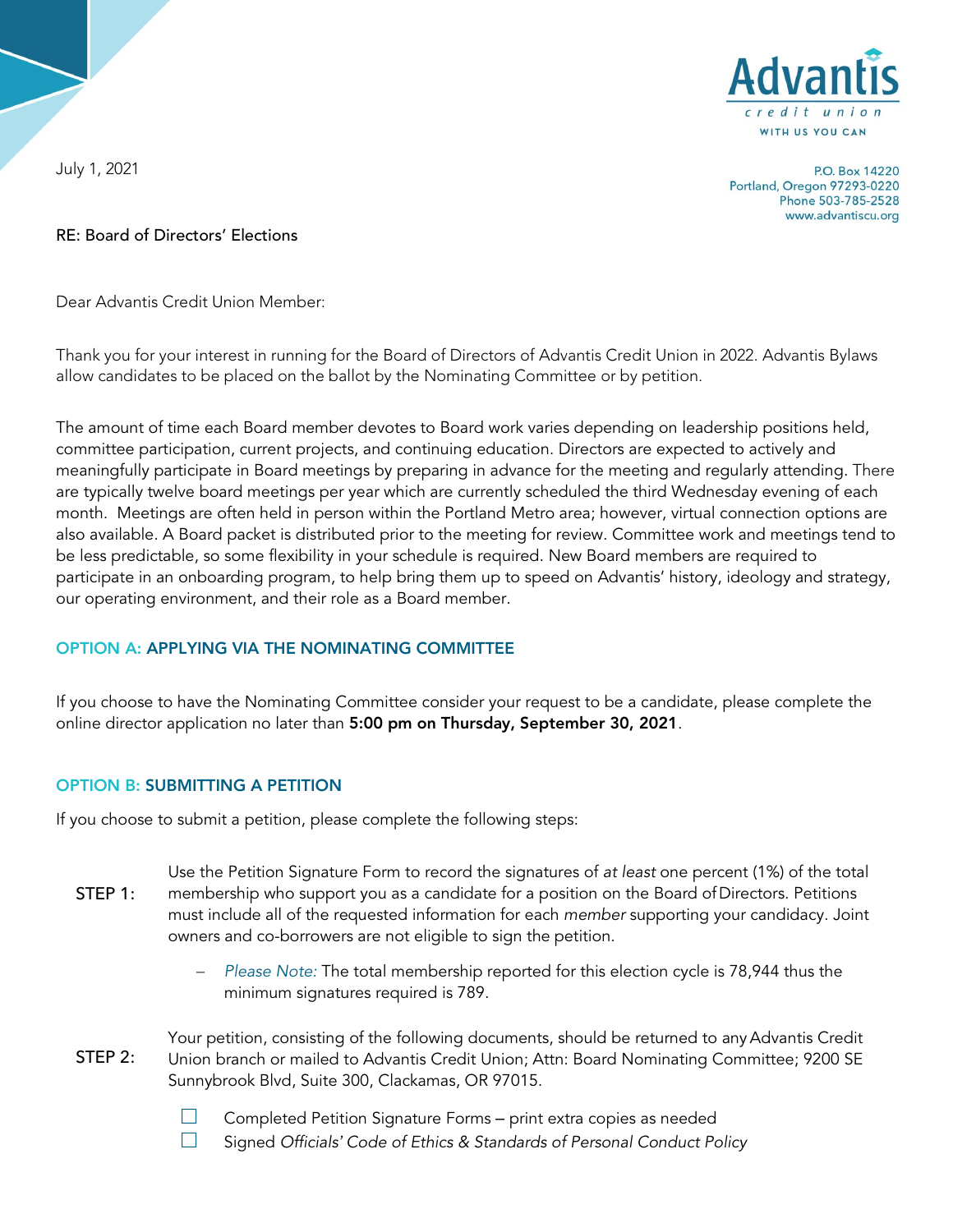

July 1, 2021

P.O. Box 14220 Portland, Oregon 97293-0220 Phone 503-785-2528 www.advantiscu.org

### RE: Board of Directors' Elections

Dear Advantis Credit Union Member:

Thank you for your interest in running for the Board of Directors of Advantis Credit Union in 2022. Advantis Bylaws allow candidates to be placed on the ballot by the Nominating Committee or by petition.

The amount of time each Board member devotes to Board work varies depending on leadership positions held, committee participation, current projects, and continuing education. Directors are expected to actively and meaningfully participate in Board meetings by preparing in advance for the meeting and regularly attending. There are typically twelve board meetings per year which are currently scheduled the third Wednesday evening of each month. Meetings are often held in person within the Portland Metro area; however, virtual connection options are also available. A Board packet is distributed prior to the meeting for review. Committee work and meetings tend to be less predictable, so some flexibility in your schedule is required. New Board members are required to participate in an onboarding program, to help bring them up to speed on Advantis' history, ideology and strategy, our operating environment, and their role as a Board member.

## OPTION A: APPLYING VIA THE NOMINATING COMMITTEE

If you choose to have the Nominating Committee consider your request to be a candidate, please complete the online director application no later than 5:00 pm on Thursday, September 30, 2021.

#### OPTION B: SUBMITTING A PETITION

If you choose to submit a petition, please complete the following steps:

- Use the Petition Signature Form to record the signatures of *at least* one percent (1%) of the total membership who support you as a candidate for a position on the Board ofDirectors. Petitions must include all of the requested information for each *member* supporting your candidacy. Joint owners and co-borrowers are not eligible to sign the petition. STEP 1:
	- − *Please Note:* The total membership reported for this election cycle is 78,944 thus the minimum signatures required is 789.
- Your petition, consisting of the following documents, should be returned to any Advantis Credit Union branch or mailed to Advantis Credit Union; Attn: Board Nominating Committee; 9200 SE Sunnybrook Blvd, Suite 300, Clackamas, OR 97015. STEP 2.
	- $\Box$  Completed Petition Signature Forms print extra copies as needed  $\Box$  Signad Officials' Code of Ethics & Standards of Personal Conduct Po
	- □ Signed *Officials' Code of Ethics & Standards of Personal Conduct Policy*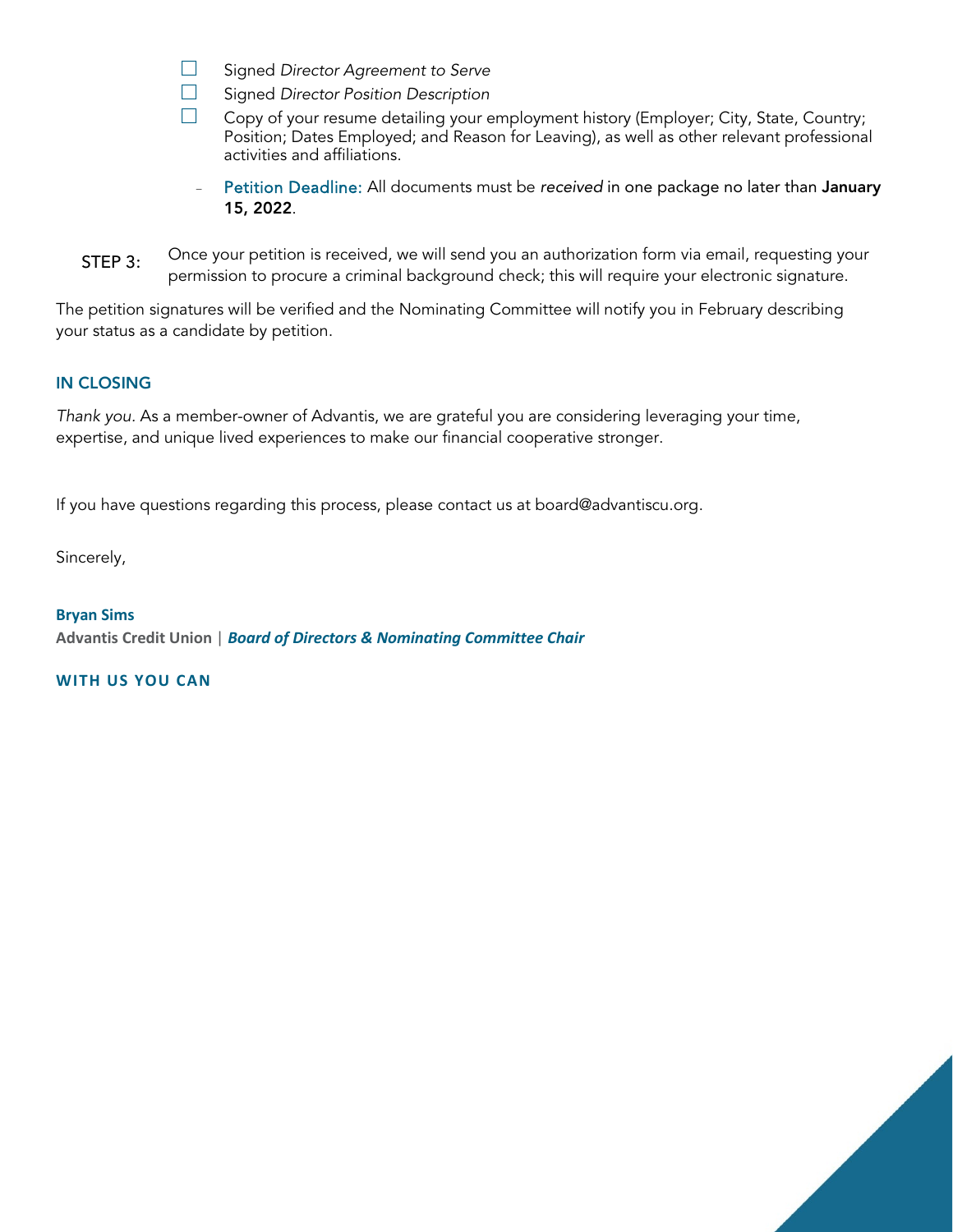- □ Signed *Director Agreement to Serve*
- □ Signed *Director Position Description*
- Copy of your resume detailing your employment history (Employer; City, State, Country; Position; Dates Employed; and Reason for Leaving), as well as other relevant professional activities and affiliations.
	- Petition Deadline: All documents must be *received* in one package no later than January 15, 2022.
- Once your petition is received, we will send you an authorization form via email, requesting your permission to procure a criminal background check; this will require your electronic signature. STEP 3:

The petition signatures will be verified and the Nominating Committee will notify you in February describing your status as a candidate by petition.

#### IN CLOSING

*Thank you.* As a member-owner of Advantis, we are grateful you are considering leveraging your time, expertise, and unique lived experiences to make our financial cooperative stronger.

If you have questions regarding this process, please contact us at board@advantiscu.org.

Sincerely,

**Bryan Sims Advantis Credit Union** | *Board of Directors & Nominating Committee Chair*

**WITH US YOU CAN**

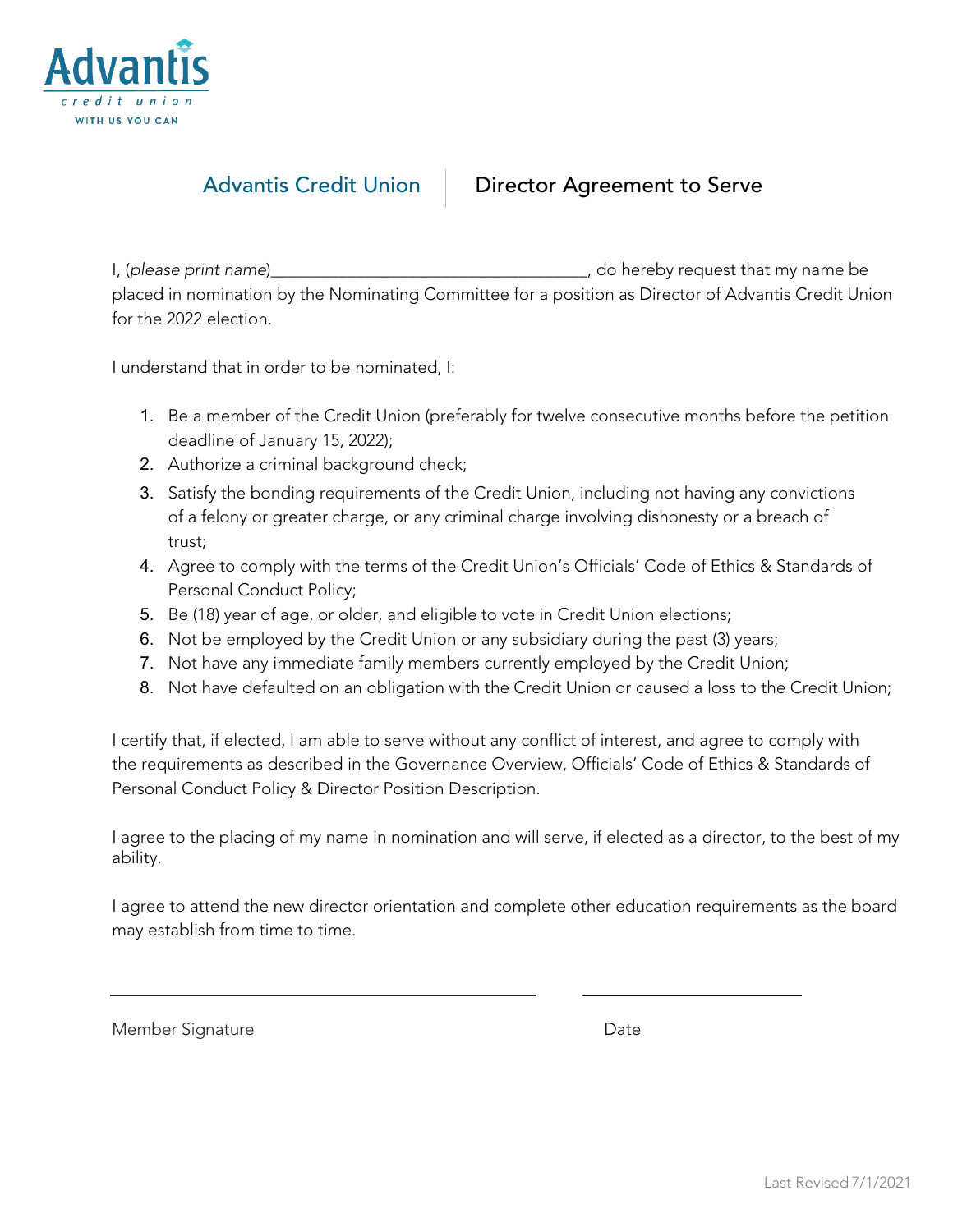

# Advantis Credit Union | Director Agreement to Serve

 I, (*please print name*)\_\_\_\_\_\_\_\_\_\_\_\_\_\_\_\_\_\_\_\_\_\_\_\_\_\_\_\_\_\_\_\_\_\_\_\_\_, do hereby request that my name be placed in nomination by the Nominating Committee for a position as Director of Advantis Credit Union for the 2022 election.

I understand that in order to be nominated, I:

- 1. Be a member of the Credit Union (preferably for twelve consecutive months before the petition deadline of January 15, 2022);
- 2. Authorize a criminal background check;
- 3. Satisfy the bonding requirements of the Credit Union, including not having any convictions of a felony or greater charge, or any criminal charge involving dishonesty or a breach of trust;
- 4. Agree to comply with the terms of the Credit Union's Officials' Code of Ethics & Standards of Personal Conduct Policy;
- 5. Be (18) year of age, or older, and eligible to vote in Credit Union elections;
- 6. Not be employed by the Credit Union or any subsidiary during the past (3) years;
- 7. Not have any immediate family members currently employed by the Credit Union;
- 8. Not have defaulted on an obligation with the Credit Union or caused a loss to the Credit Union;

I certify that, if elected, I am able to serve without any conflict of interest, and agree to comply with the requirements as described in the Governance Overview, Officials' Code of Ethics & Standards of Personal Conduct Policy & Director Position Description.

I agree to the placing of my name in nomination and will serve, if elected as a director, to the best of my ability.

I agree to attend the new director orientation and complete other education requirements as the board may establish from time to time.

Member Signature **Date** Date